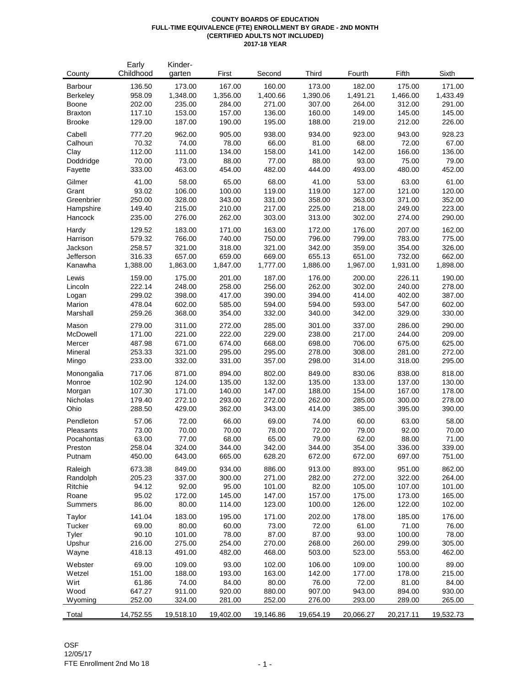#### **COUNTY BOARDS OF EDUCATION FULL-TIME EQUIVALENCE (FTE) ENROLLMENT BY GRADE - 2ND MONTH (CERTIFIED ADULTS NOT INCLUDED) 2017-18 YEAR**

|               | Early     | Kinder-   |           |           |           |           |           |           |
|---------------|-----------|-----------|-----------|-----------|-----------|-----------|-----------|-----------|
| County        | Childhood | garten    | First     | Second    | Third     | Fourth    | Fifth     | Sixth     |
| Barbour       | 136.50    | 173.00    | 167.00    | 160.00    | 173.00    | 182.00    | 175.00    | 171.00    |
| Berkeley      | 958.09    | 1,348.00  | 1,356.00  | 1,400.66  | 1,390.06  | 1,491.21  | 1,466.00  | 1,433.49  |
| Boone         | 202.00    | 235.00    | 284.00    | 271.00    | 307.00    | 264.00    | 312.00    | 291.00    |
| Braxton       | 117.10    | 153.00    | 157.00    | 136.00    | 160.00    | 149.00    | 145.00    | 145.00    |
| <b>Brooke</b> | 129.00    | 187.00    | 190.00    | 195.00    | 188.00    | 219.00    | 212.00    | 226.00    |
|               |           |           |           |           |           |           |           |           |
| Cabell        | 777.20    | 962.00    | 905.00    | 938.00    | 934.00    | 923.00    | 943.00    | 928.23    |
| Calhoun       | 70.32     | 74.00     | 78.00     | 66.00     | 81.00     | 68.00     | 72.00     | 67.00     |
| Clay          | 112.00    | 111.00    | 134.00    | 158.00    | 141.00    | 142.00    | 166.00    | 136.00    |
| Doddridge     | 70.00     | 73.00     | 88.00     | 77.00     | 88.00     | 93.00     | 75.00     | 79.00     |
| Fayette       | 333.00    | 463.00    | 454.00    | 482.00    | 444.00    | 493.00    | 480.00    | 452.00    |
| Gilmer        | 41.00     | 58.00     | 65.00     | 68.00     | 41.00     | 53.00     | 63.00     | 61.00     |
| Grant         | 93.02     | 106.00    | 100.00    | 119.00    | 119.00    | 127.00    | 121.00    | 120.00    |
| Greenbrier    | 250.00    | 328.00    | 343.00    | 331.00    | 358.00    | 363.00    | 371.00    | 352.00    |
| Hampshire     | 149.40    | 215.00    | 210.00    | 217.00    | 225.00    | 218.00    | 249.00    | 223.00    |
| Hancock       | 235.00    | 276.00    | 262.00    | 303.00    | 313.00    | 302.00    | 274.00    | 290.00    |
|               |           |           |           |           |           |           |           |           |
| Hardy         | 129.52    | 183.00    | 171.00    | 163.00    | 172.00    | 176.00    | 207.00    | 162.00    |
| Harrison      | 579.32    | 766.00    | 740.00    | 750.00    | 796.00    | 799.00    | 783.00    | 775.00    |
| Jackson       | 258.57    | 321.00    | 318.00    | 321.00    | 342.00    | 359.00    | 354.00    | 326.00    |
| Jefferson     | 316.33    | 657.00    | 659.00    | 669.00    | 655.13    | 651.00    | 732.00    | 662.00    |
| Kanawha       | 1,388.00  | 1,863.00  | 1,847.00  | 1,777.00  | 1,886.00  | 1,967.00  | 1,931.00  | 1,898.00  |
| Lewis         | 159.00    | 175.00    | 201.00    | 187.00    | 176.00    | 200.00    | 226.11    | 190.00    |
| Lincoln       | 222.14    | 248.00    | 258.00    | 256.00    | 262.00    | 302.00    | 240.00    | 278.00    |
| Logan         | 299.02    | 398.00    | 417.00    | 390.00    | 394.00    | 414.00    | 402.00    | 387.00    |
| Marion        | 478.04    | 602.00    | 585.00    | 594.00    | 594.00    | 593.00    | 547.00    | 602.00    |
| Marshall      | 259.26    | 368.00    | 354.00    | 332.00    | 340.00    | 342.00    | 329.00    | 330.00    |
|               |           |           |           |           |           |           |           |           |
| Mason         | 279.00    | 311.00    | 272.00    | 285.00    | 301.00    | 337.00    | 286.00    | 290.00    |
| McDowell      | 171.00    | 221.00    | 222.00    | 229.00    | 238.00    | 217.00    | 244.00    | 209.00    |
| Mercer        | 487.98    | 671.00    | 674.00    | 668.00    | 698.00    | 706.00    | 675.00    | 625.00    |
| Mineral       | 253.33    | 321.00    | 295.00    | 295.00    | 278.00    | 308.00    | 281.00    | 272.00    |
| Mingo         | 233.00    | 332.00    | 331.00    | 357.00    | 298.00    | 314.00    | 318.00    | 295.00    |
| Monongalia    | 717.06    | 871.00    | 894.00    | 802.00    | 849.00    | 830.06    | 838.00    | 818.00    |
| Monroe        | 102.90    | 124.00    | 135.00    | 132.00    | 135.00    | 133.00    | 137.00    | 130.00    |
| Morgan        | 107.30    | 171.00    | 140.00    | 147.00    | 188.00    | 154.00    | 167.00    | 178.00    |
| Nicholas      | 179.40    | 272.10    | 293.00    | 272.00    | 262.00    | 285.00    | 300.00    | 278.00    |
| Ohio          | 288.50    | 429.00    | 362.00    | 343.00    | 414.00    | 385.00    | 395.00    | 390.00    |
|               |           |           |           |           |           |           |           |           |
| Pendleton     | 57.06     | 72.00     | 66.00     | 69.00     | 74.00     | 60.00     | 63.00     | 58.00     |
| Pleasants     | 73.00     | 70.00     | 70.00     | 78.00     | 72.00     | 79.00     | 92.00     | 70.00     |
| Pocahontas    | 63.00     | 77.00     | 68.00     | 65.00     | 79.00     | 62.00     | 88.00     | 71.00     |
| Preston       | 258.04    | 324.00    | 344.00    | 342.00    | 344.00    | 354.00    | 336.00    | 339.00    |
| Putnam        | 450.00    | 643.00    | 665.00    | 628.20    | 672.00    | 672.00    | 697.00    | 751.00    |
| Raleigh       | 673.38    | 849.00    | 934.00    | 886.00    | 913.00    | 893.00    | 951.00    | 862.00    |
| Randolph      | 205.23    | 337.00    | 300.00    | 271.00    | 282.00    | 272.00    | 322.00    | 264.00    |
| Ritchie       | 94.12     | 92.00     | 95.00     | 101.00    | 82.00     | 105.00    | 107.00    | 101.00    |
| Roane         | 95.02     | 172.00    | 145.00    | 147.00    | 157.00    | 175.00    | 173.00    | 165.00    |
| Summers       | 86.00     | 80.00     | 114.00    | 123.00    | 100.00    | 126.00    | 122.00    | 102.00    |
|               |           |           |           |           |           |           |           |           |
| Taylor        | 141.04    | 183.00    | 195.00    | 171.00    | 202.00    | 178.00    | 185.00    | 176.00    |
| Tucker        | 69.00     | 80.00     | 60.00     | 73.00     | 72.00     | 61.00     | 71.00     | 76.00     |
| Tyler         | 90.10     | 101.00    | 78.00     | 87.00     | 87.00     | 93.00     | 100.00    | 78.00     |
| Upshur        | 216.00    | 275.00    | 254.00    | 270.00    | 268.00    | 260.00    | 299.00    | 305.00    |
| Wayne         | 418.13    | 491.00    | 482.00    | 468.00    | 503.00    | 523.00    | 553.00    | 462.00    |
| Webster       | 69.00     | 109.00    | 93.00     | 102.00    | 106.00    | 109.00    | 100.00    | 89.00     |
| Wetzel        | 151.00    | 188.00    | 193.00    | 163.00    | 142.00    | 177.00    | 178.00    | 215.00    |
| Wirt          | 61.86     | 74.00     | 84.00     | 80.00     | 76.00     | 72.00     | 81.00     | 84.00     |
| Wood          | 647.27    | 911.00    | 920.00    | 880.00    | 907.00    | 943.00    | 894.00    | 930.00    |
| Wyoming       | 252.00    | 324.00    | 281.00    | 252.00    | 276.00    | 293.00    | 289.00    | 265.00    |
|               |           |           |           |           |           |           |           |           |
| Total         | 14,752.55 | 19,518.10 | 19,402.00 | 19,146.86 | 19,654.19 | 20,066.27 | 20,217.11 | 19,532.73 |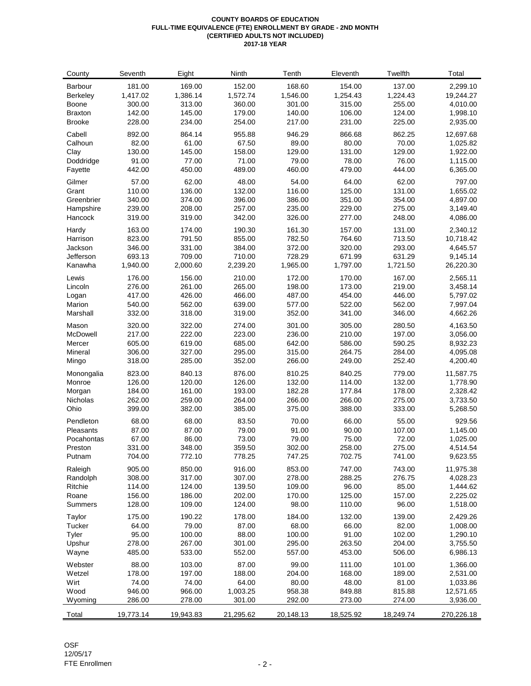#### **COUNTY BOARDS OF EDUCATION FULL-TIME EQUIVALENCE (FTE) ENROLLMENT BY GRADE - 2ND MONTH (CERTIFIED ADULTS NOT INCLUDED) 2017-18 YEAR**

| County         | Seventh   | Eight     | Ninth     | Tenth     | Eleventh  | Twelfth   | Total      |
|----------------|-----------|-----------|-----------|-----------|-----------|-----------|------------|
| Barbour        | 181.00    | 169.00    | 152.00    | 168.60    | 154.00    | 137.00    | 2,299.10   |
| Berkeley       | 1,417.02  | 1,386.14  | 1,572.74  | 1,546.00  | 1,254.43  | 1,224.43  | 19,244.27  |
| Boone          | 300.00    | 313.00    | 360.00    | 301.00    | 315.00    | 255.00    | 4,010.00   |
| <b>Braxton</b> | 142.00    | 145.00    | 179.00    | 140.00    | 106.00    | 124.00    | 1,998.10   |
| <b>Brooke</b>  | 228.00    | 234.00    | 254.00    | 217.00    | 231.00    | 225.00    | 2,935.00   |
| Cabell         | 892.00    | 864.14    | 955.88    | 946.29    | 866.68    | 862.25    | 12,697.68  |
| Calhoun        | 82.00     | 61.00     | 67.50     | 89.00     | 80.00     | 70.00     | 1,025.82   |
| Clay           | 130.00    | 145.00    | 158.00    | 129.00    | 131.00    | 129.00    | 1,922.00   |
| Doddridge      | 91.00     | 77.00     | 71.00     | 79.00     | 78.00     | 76.00     | 1,115.00   |
| Fayette        | 442.00    | 450.00    | 489.00    | 460.00    | 479.00    | 444.00    | 6,365.00   |
| Gilmer         | 57.00     | 62.00     | 48.00     | 54.00     | 64.00     | 62.00     | 797.00     |
| Grant          | 110.00    | 136.00    | 132.00    | 116.00    | 125.00    | 131.00    | 1,655.02   |
| Greenbrier     | 340.00    | 374.00    | 396.00    | 386.00    | 351.00    | 354.00    | 4,897.00   |
| Hampshire      | 239.00    | 208.00    | 257.00    | 235.00    | 229.00    | 275.00    | 3,149.40   |
| Hancock        | 319.00    | 319.00    | 342.00    | 326.00    | 277.00    | 248.00    | 4,086.00   |
| Hardy          | 163.00    | 174.00    | 190.30    | 161.30    | 157.00    | 131.00    | 2,340.12   |
| Harrison       | 823.00    | 791.50    | 855.00    | 782.50    | 764.60    | 713.50    | 10,718.42  |
| Jackson        | 346.00    | 331.00    | 384.00    | 372.00    | 320.00    | 293.00    | 4,645.57   |
| Jefferson      | 693.13    | 709.00    | 710.00    | 728.29    | 671.99    | 631.29    | 9,145.14   |
| Kanawha        | 1,940.00  | 2,000.60  | 2,239.20  | 1,965.00  | 1,797.00  | 1,721.50  | 26,220.30  |
| Lewis          | 176.00    | 156.00    | 210.00    | 172.00    | 170.00    | 167.00    | 2,565.11   |
| Lincoln        | 276.00    | 261.00    | 265.00    | 198.00    | 173.00    | 219.00    | 3,458.14   |
| Logan          | 417.00    | 426.00    | 466.00    | 487.00    | 454.00    | 446.00    | 5,797.02   |
| Marion         | 540.00    | 562.00    | 639.00    | 577.00    | 522.00    | 562.00    | 7,997.04   |
| Marshall       | 332.00    | 318.00    | 319.00    | 352.00    | 341.00    | 346.00    | 4,662.26   |
| Mason          | 320.00    | 322.00    | 274.00    | 301.00    | 305.00    | 280.50    | 4,163.50   |
| McDowell       | 217.00    | 222.00    | 223.00    | 236.00    | 210.00    | 197.00    | 3,056.00   |
| Mercer         | 605.00    | 619.00    | 685.00    | 642.00    | 586.00    | 590.25    | 8,932.23   |
| Mineral        | 306.00    | 327.00    | 295.00    | 315.00    | 264.75    | 284.00    | 4,095.08   |
| Mingo          | 318.00    | 285.00    | 352.00    | 266.00    | 249.00    | 252.40    | 4,200.40   |
| Monongalia     | 823.00    | 840.13    | 876.00    | 810.25    | 840.25    | 779.00    | 11,587.75  |
| Monroe         | 126.00    | 120.00    | 126.00    | 132.00    | 114.00    | 132.00    | 1,778.90   |
| Morgan         | 184.00    | 161.00    | 193.00    | 182.28    | 177.84    | 178.00    | 2,328.42   |
| Nicholas       | 262.00    | 259.00    | 264.00    | 266.00    | 266.00    | 275.00    | 3,733.50   |
| Ohio           | 399.00    | 382.00    | 385.00    | 375.00    | 388.00    | 333.00    | 5,268.50   |
| Pendleton      | 68.00     | 68.00     | 83.50     | 70.00     | 66.00     | 55.00     | 929.56     |
| Pleasants      | 87.00     | 87.00     | 79.00     | 91.00     | 90.00     | 107.00    | 1,145.00   |
| Pocahontas     | 67.00     | 86.00     | 73.00     | 79.00     | 75.00     | 72.00     | 1,025.00   |
| Preston        | 331.00    | 348.00    | 359.50    | 302.00    | 258.00    | 275.00    | 4,514.54   |
| Putnam         | 704.00    | 772.10    | 778.25    | 747.25    | 702.75    | 741.00    | 9,623.55   |
| Raleigh        | 905.00    | 850.00    | 916.00    | 853.00    | 747.00    | 743.00    | 11,975.38  |
| Randolph       | 308.00    | 317.00    | 307.00    | 278.00    | 288.25    | 276.75    | 4,028.23   |
| Ritchie        | 114.00    | 124.00    | 139.50    | 109.00    | 96.00     | 85.00     | 1,444.62   |
| Roane          | 156.00    | 186.00    | 202.00    | 170.00    | 125.00    | 157.00    | 2,225.02   |
| Summers        | 128.00    | 109.00    | 124.00    | 98.00     | 110.00    | 96.00     | 1,518.00   |
| Taylor         | 175.00    | 190.22    | 178.00    | 184.00    | 132.00    | 139.00    | 2,429.26   |
| Tucker         | 64.00     | 79.00     | 87.00     | 68.00     | 66.00     | 82.00     | 1,008.00   |
| Tyler          | 95.00     | 100.00    | 88.00     | 100.00    | 91.00     | 102.00    | 1,290.10   |
| Upshur         | 278.00    | 267.00    | 301.00    | 295.00    | 263.50    | 204.00    | 3,755.50   |
| Wayne          | 485.00    | 533.00    | 552.00    | 557.00    | 453.00    | 506.00    | 6,986.13   |
| Webster        | 88.00     | 103.00    | 87.00     | 99.00     | 111.00    | 101.00    | 1,366.00   |
| Wetzel         | 178.00    | 197.00    | 188.00    | 204.00    | 168.00    | 189.00    | 2,531.00   |
| Wirt           | 74.00     | 74.00     | 64.00     | 80.00     | 48.00     | 81.00     | 1,033.86   |
| Wood           | 946.00    | 966.00    | 1,003.25  | 958.38    | 849.88    | 815.88    | 12,571.65  |
| Wyoming        | 286.00    | 278.00    | 301.00    | 292.00    | 273.00    | 274.00    | 3,936.00   |
| Total          | 19,773.14 | 19,943.83 | 21,295.62 | 20,148.13 | 18,525.92 | 18,249.74 | 270,226.18 |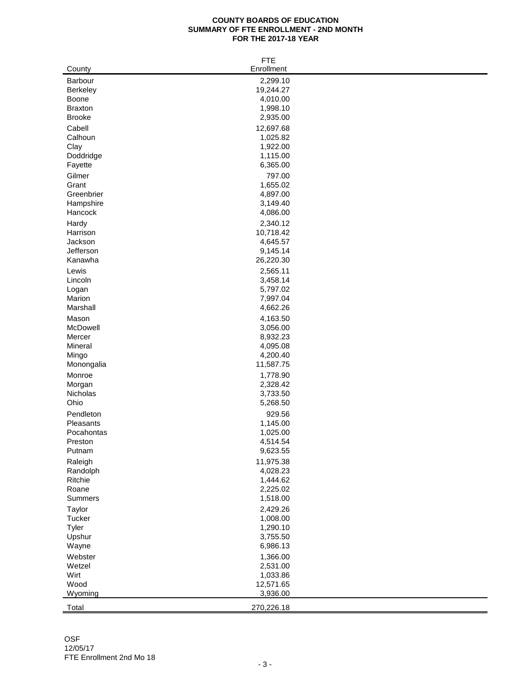#### **COUNTY BOARDS OF EDUCATION SUMMARY OF FTE ENROLLMENT - 2ND MONTH FOR THE 2017-18 YEAR**

|                | <b>FTE</b> |
|----------------|------------|
| County         | Enrollment |
| Barbour        | 2,299.10   |
| Berkeley       | 19,244.27  |
| Boone          | 4,010.00   |
| <b>Braxton</b> | 1,998.10   |
| <b>Brooke</b>  | 2,935.00   |
|                |            |
| Cabell         | 12,697.68  |
| Calhoun        | 1,025.82   |
| Clay           | 1,922.00   |
| Doddridge      | 1,115.00   |
| Fayette        | 6,365.00   |
| Gilmer         | 797.00     |
| Grant          | 1,655.02   |
| Greenbrier     | 4,897.00   |
| Hampshire      | 3,149.40   |
| Hancock        | 4,086.00   |
| Hardy          | 2,340.12   |
| Harrison       | 10,718.42  |
| Jackson        | 4,645.57   |
| Jefferson      | 9,145.14   |
| Kanawha        | 26,220.30  |
| Lewis          | 2,565.11   |
| Lincoln        | 3,458.14   |
| Logan          | 5,797.02   |
| Marion         | 7,997.04   |
| Marshall       | 4,662.26   |
|                |            |
| Mason          | 4,163.50   |
| McDowell       | 3,056.00   |
| Mercer         | 8,932.23   |
| Mineral        | 4,095.08   |
| Mingo          | 4,200.40   |
| Monongalia     | 11,587.75  |
| Monroe         | 1,778.90   |
| Morgan         | 2,328.42   |
| Nicholas       | 3,733.50   |
| Ohio           | 5,268.50   |
| Pendleton      | 929.56     |
| Pleasants      | 1,145.00   |
| Pocahontas     | 1,025.00   |
| Preston        | 4,514.54   |
| Putnam         | 9,623.55   |
| Raleigh        | 11,975.38  |
| Randolph       | 4,028.23   |
| Ritchie        | 1,444.62   |
| Roane          | 2,225.02   |
| Summers        | 1,518.00   |
|                |            |
| Taylor         | 2,429.26   |
| Tucker         | 1,008.00   |
| Tyler          | 1,290.10   |
| Upshur         | 3,755.50   |
| Wayne          | 6,986.13   |
| Webster        | 1,366.00   |
| Wetzel         | 2,531.00   |
| Wirt           | 1,033.86   |
| Wood           | 12,571.65  |
| Wyoming        | 3,936.00   |
| Total          | 270,226.18 |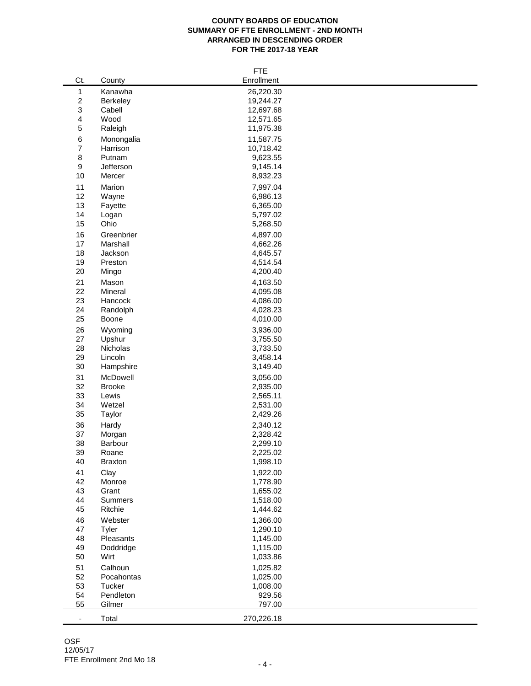#### **COUNTY BOARDS OF EDUCATION SUMMARY OF FTE ENROLLMENT - 2ND MONTH ARRANGED IN DESCENDING ORDER FOR THE 2017-18 YEAR**

|                          |                 | <b>FTE</b> |
|--------------------------|-----------------|------------|
| Ct.                      | County          | Enrollment |
| $\mathbf{1}$             | Kanawha         | 26,220.30  |
| $\overline{\mathbf{c}}$  | <b>Berkeley</b> | 19,244.27  |
| 3                        | Cabell          | 12,697.68  |
| 4                        | Wood            | 12,571.65  |
| 5                        | Raleigh         | 11,975.38  |
| 6                        | Monongalia      | 11,587.75  |
| 7                        | Harrison        | 10,718.42  |
| 8                        | Putnam          | 9,623.55   |
| 9                        | Jefferson       | 9,145.14   |
| 10                       | Mercer          | 8,932.23   |
|                          |                 |            |
| 11                       | Marion          | 7,997.04   |
| 12                       | Wayne           | 6,986.13   |
| 13                       | Fayette         | 6,365.00   |
| 14                       | Logan           | 5,797.02   |
| 15                       | Ohio            | 5,268.50   |
| 16                       | Greenbrier      | 4,897.00   |
| 17                       | Marshall        | 4,662.26   |
| 18                       | Jackson         | 4,645.57   |
| 19                       | Preston         | 4,514.54   |
| 20                       | Mingo           | 4,200.40   |
| 21                       | Mason           | 4,163.50   |
| 22                       | Mineral         | 4,095.08   |
| 23                       | Hancock         | 4,086.00   |
| 24                       | Randolph        | 4,028.23   |
| 25                       | Boone           | 4,010.00   |
| 26                       | Wyoming         | 3,936.00   |
| 27                       | Upshur          | 3,755.50   |
| 28                       | Nicholas        | 3,733.50   |
| 29                       | Lincoln         | 3,458.14   |
| 30                       | Hampshire       | 3,149.40   |
| 31                       | McDowell        | 3,056.00   |
| 32                       | <b>Brooke</b>   | 2,935.00   |
| 33                       | Lewis           | 2,565.11   |
| 34                       | Wetzel          | 2,531.00   |
| 35                       | Taylor          | 2,429.26   |
| 36                       | Hardy           | 2,340.12   |
| 37                       | Morgan          | 2,328.42   |
| 38                       | Barbour         | 2,299.10   |
| 39                       | Roane           | 2,225.02   |
| 40                       | <b>Braxton</b>  | 1,998.10   |
| 41                       | Clay            | 1,922.00   |
| 42                       | Monroe          | 1,778.90   |
| 43                       | Grant           | 1,655.02   |
| 44                       | Summers         | 1,518.00   |
| 45                       | Ritchie         | 1,444.62   |
|                          |                 |            |
| 46                       | Webster         | 1,366.00   |
| 47                       | Tyler           | 1,290.10   |
| 48                       | Pleasants       | 1,145.00   |
| 49                       | Doddridge       | 1,115.00   |
| 50                       | Wirt            | 1,033.86   |
| 51                       | Calhoun         | 1,025.82   |
| 52                       | Pocahontas      | 1,025.00   |
| 53                       | Tucker          | 1,008.00   |
| 54                       | Pendleton       | 929.56     |
| 55                       | Gilmer          | 797.00     |
| $\overline{\phantom{a}}$ | Total           | 270,226.18 |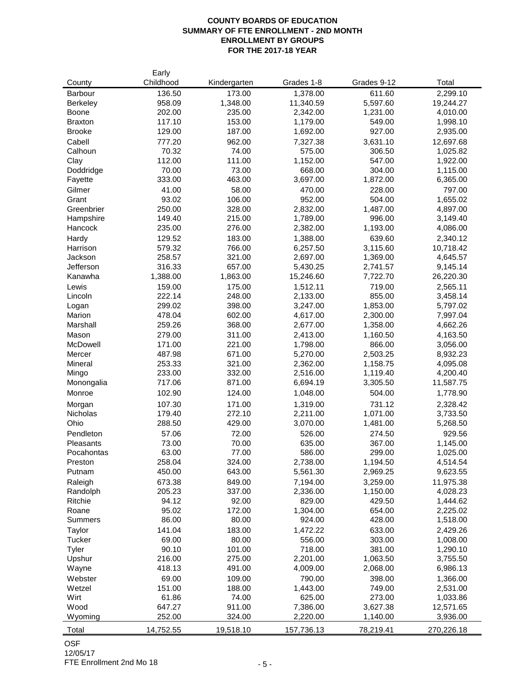## **COUNTY BOARDS OF EDUCATION SUMMARY OF FTE ENROLLMENT - 2ND MONTH ENROLLMENT BY GROUPS FOR THE 2017-18 YEAR**

| County          | Early<br>Childhood | Kindergarten | Grades 1-8 | Grades 9-12 | Total      |
|-----------------|--------------------|--------------|------------|-------------|------------|
| Barbour         | 136.50             | 173.00       | 1,378.00   | 611.60      | 2,299.10   |
| <b>Berkeley</b> | 958.09             | 1,348.00     | 11,340.59  | 5,597.60    | 19,244.27  |
| Boone           | 202.00             | 235.00       | 2,342.00   | 1,231.00    | 4,010.00   |
| <b>Braxton</b>  | 117.10             | 153.00       | 1,179.00   | 549.00      | 1,998.10   |
| <b>Brooke</b>   | 129.00             | 187.00       | 1,692.00   | 927.00      | 2,935.00   |
| Cabell          | 777.20             | 962.00       | 7,327.38   | 3,631.10    | 12,697.68  |
| Calhoun         | 70.32              | 74.00        | 575.00     | 306.50      | 1,025.82   |
| Clay            | 112.00             | 111.00       | 1,152.00   | 547.00      | 1,922.00   |
| Doddridge       | 70.00              | 73.00        | 668.00     | 304.00      | 1,115.00   |
| Fayette         | 333.00             | 463.00       | 3,697.00   | 1,872.00    | 6,365.00   |
| Gilmer          | 41.00              | 58.00        | 470.00     | 228.00      | 797.00     |
| Grant           | 93.02              | 106.00       | 952.00     | 504.00      | 1,655.02   |
| Greenbrier      | 250.00             | 328.00       | 2,832.00   | 1,487.00    | 4,897.00   |
| Hampshire       | 149.40             | 215.00       | 1,789.00   | 996.00      | 3,149.40   |
| Hancock         | 235.00             | 276.00       | 2,382.00   | 1,193.00    | 4,086.00   |
| Hardy           | 129.52             | 183.00       | 1,388.00   | 639.60      | 2,340.12   |
| Harrison        | 579.32             | 766.00       | 6,257.50   | 3,115.60    | 10,718.42  |
| Jackson         | 258.57             | 321.00       | 2,697.00   | 1,369.00    | 4,645.57   |
| Jefferson       | 316.33             | 657.00       | 5,430.25   | 2,741.57    | 9,145.14   |
| Kanawha         | 1,388.00           | 1,863.00     | 15,246.60  | 7,722.70    | 26,220.30  |
| Lewis           | 159.00             | 175.00       | 1,512.11   | 719.00      | 2,565.11   |
| Lincoln         | 222.14             | 248.00       | 2,133.00   | 855.00      | 3,458.14   |
| Logan           | 299.02             | 398.00       | 3,247.00   | 1,853.00    | 5,797.02   |
| Marion          | 478.04             | 602.00       | 4,617.00   | 2,300.00    | 7,997.04   |
| Marshall        | 259.26             | 368.00       | 2,677.00   | 1,358.00    | 4,662.26   |
| Mason           | 279.00             | 311.00       | 2,413.00   | 1,160.50    | 4,163.50   |
| McDowell        | 171.00             | 221.00       | 1,798.00   | 866.00      | 3,056.00   |
| Mercer          | 487.98             | 671.00       | 5,270.00   | 2,503.25    | 8,932.23   |
| Mineral         | 253.33             | 321.00       | 2,362.00   | 1,158.75    | 4,095.08   |
| Mingo           | 233.00             | 332.00       | 2,516.00   | 1,119.40    | 4,200.40   |
| Monongalia      | 717.06             | 871.00       | 6,694.19   | 3,305.50    | 11,587.75  |
| Monroe          | 102.90             | 124.00       | 1,048.00   | 504.00      | 1,778.90   |
| Morgan          | 107.30             | 171.00       | 1,319.00   | 731.12      | 2,328.42   |
| Nicholas        | 179.40             | 272.10       | 2,211.00   | 1,071.00    | 3,733.50   |
| Ohio            | 288.50             | 429.00       | 3,070.00   | 1,481.00    | 5,268.50   |
| Pendleton       | 57.06              | 72.00        | 526.00     | 274.50      | 929.56     |
| Pleasants       | 73.00              | 70.00        | 635.00     | 367.00      | 1,145.00   |
| Pocahontas      | 63.00              | 77.00        | 586.00     | 299.00      | 1.025.00   |
| Preston         | 258.04             | 324.00       | 2,738.00   | 1,194.50    | 4,514.54   |
| Putnam          | 450.00             | 643.00       | 5,561.30   | 2,969.25    | 9,623.55   |
| Raleigh         | 673.38             | 849.00       | 7,194.00   | 3,259.00    | 11,975.38  |
| Randolph        | 205.23             | 337.00       | 2,336.00   | 1,150.00    | 4,028.23   |
| Ritchie         | 94.12              | 92.00        | 829.00     | 429.50      | 1,444.62   |
| Roane           | 95.02              | 172.00       | 1,304.00   | 654.00      | 2,225.02   |
| Summers         | 86.00              | 80.00        | 924.00     | 428.00      | 1,518.00   |
| Taylor          | 141.04             | 183.00       | 1,472.22   | 633.00      | 2,429.26   |
| Tucker          | 69.00              | 80.00        | 556.00     | 303.00      | 1,008.00   |
| Tyler           | 90.10              | 101.00       | 718.00     | 381.00      | 1,290.10   |
| Upshur          | 216.00             | 275.00       | 2,201.00   | 1,063.50    | 3,755.50   |
| Wayne           | 418.13             | 491.00       | 4,009.00   | 2,068.00    | 6,986.13   |
| Webster         | 69.00              | 109.00       | 790.00     | 398.00      | 1,366.00   |
| Wetzel          | 151.00             | 188.00       | 1,443.00   | 749.00      | 2,531.00   |
| Wirt            | 61.86              | 74.00        | 625.00     | 273.00      | 1,033.86   |
| Wood            | 647.27             | 911.00       | 7,386.00   | 3,627.38    | 12,571.65  |
| Wyoming         | 252.00             | 324.00       | 2,220.00   | 1,140.00    | 3,936.00   |
|                 |                    |              |            |             |            |
| Total           | 14,752.55          | 19,518.10    | 157,736.13 | 78,219.41   | 270,226.18 |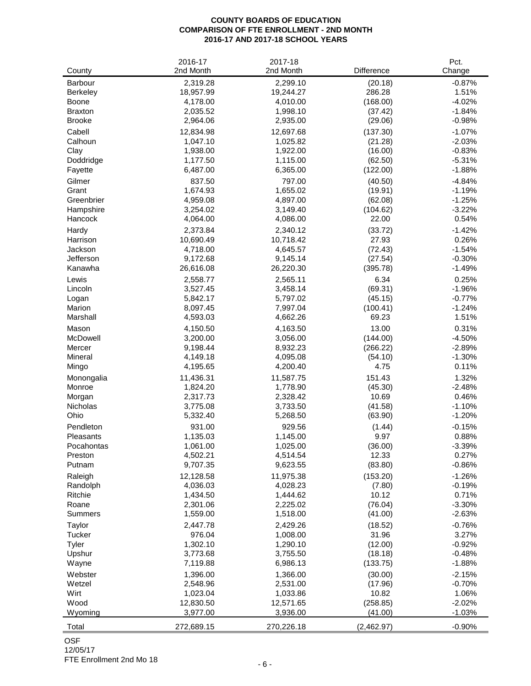#### **COUNTY BOARDS OF EDUCATION COMPARISON OF FTE ENROLLMENT - 2ND MONTH 2016-17 AND 2017-18 SCHOOL YEARS**

| County          | 2016-17<br>2nd Month | 2017-18<br>2nd Month | Difference | Pct.<br>Change |
|-----------------|----------------------|----------------------|------------|----------------|
| Barbour         | 2,319.28             | 2,299.10             | (20.18)    | $-0.87%$       |
| <b>Berkeley</b> | 18,957.99            | 19,244.27            | 286.28     | 1.51%          |
| Boone           | 4,178.00             | 4,010.00             | (168.00)   | $-4.02%$       |
| <b>Braxton</b>  | 2,035.52             | 1,998.10             | (37.42)    | $-1.84%$       |
| <b>Brooke</b>   | 2,964.06             | 2,935.00             | (29.06)    | $-0.98%$       |
| Cabell          | 12,834.98            | 12,697.68            | (137.30)   | $-1.07%$       |
| Calhoun         | 1,047.10             | 1,025.82             | (21.28)    | $-2.03%$       |
| Clay            | 1,938.00             | 1,922.00             | (16.00)    | $-0.83%$       |
| Doddridge       | 1,177.50             | 1,115.00             | (62.50)    | $-5.31%$       |
| Fayette         | 6,487.00             | 6,365.00             | (122.00)   | $-1.88%$       |
| Gilmer          | 837.50               | 797.00               | (40.50)    | $-4.84%$       |
| Grant           | 1,674.93             | 1,655.02             | (19.91)    | $-1.19%$       |
| Greenbrier      | 4,959.08             | 4,897.00             | (62.08)    | $-1.25%$       |
| Hampshire       | 3,254.02             | 3,149.40             | (104.62)   | $-3.22%$       |
| Hancock         | 4,064.00             | 4,086.00             | 22.00      | 0.54%          |
| Hardy           | 2,373.84             | 2,340.12             | (33.72)    | $-1.42%$       |
| Harrison        | 10,690.49            | 10,718.42            | 27.93      | 0.26%          |
| Jackson         | 4,718.00             | 4,645.57             | (72.43)    | $-1.54%$       |
| Jefferson       | 9,172.68             | 9,145.14             | (27.54)    | $-0.30%$       |
| Kanawha         | 26,616.08            | 26,220.30            | (395.78)   | $-1.49%$       |
| Lewis           | 2,558.77             | 2,565.11             | 6.34       | 0.25%          |
| Lincoln         | 3,527.45             | 3,458.14             | (69.31)    | $-1.96%$       |
| Logan           | 5,842.17             | 5,797.02             | (45.15)    | $-0.77%$       |
| Marion          | 8,097.45             | 7,997.04             | (100.41)   | $-1.24%$       |
| Marshall        | 4,593.03             | 4,662.26             | 69.23      | 1.51%          |
| Mason           | 4,150.50             | 4,163.50             | 13.00      | 0.31%          |
| McDowell        | 3,200.00             | 3,056.00             | (144.00)   | $-4.50%$       |
| Mercer          | 9,198.44             | 8,932.23             | (266.22)   | $-2.89%$       |
| Mineral         | 4,149.18             | 4,095.08             | (54.10)    | $-1.30%$       |
| Mingo           | 4,195.65             | 4,200.40             | 4.75       | 0.11%          |
| Monongalia      | 11,436.31            | 11,587.75            | 151.43     | 1.32%          |
| Monroe          | 1,824.20             | 1,778.90             | (45.30)    | $-2.48%$       |
| Morgan          | 2,317.73             | 2,328.42             | 10.69      | 0.46%          |
| <b>Nicholas</b> | 3,775.08             | 3,733.50             | (41.58)    | $-1.10%$       |
| Ohio            | 5,332.40             | 5,268.50             | (63.90)    | $-1.20%$       |
| Pendleton       | 931.00               | 929.56               | (1.44)     | $-0.15%$       |
| Pleasants       | 1,135.03             | 1,145.00             | 9.97       | 0.88%          |
| Pocahontas      | 1,061.00             | 1,025.00             | (36.00)    | $-3.39%$       |
| Preston         | 4,502.21             | 4,514.54             | 12.33      | 0.27%          |
| Putnam          | 9,707.35             | 9,623.55             | (83.80)    | $-0.86%$       |
| Raleigh         | 12,128.58            | 11,975.38            | (153.20)   | $-1.26%$       |
| Randolph        | 4,036.03             | 4,028.23             | (7.80)     | $-0.19%$       |
| Ritchie         | 1,434.50             | 1,444.62             | 10.12      | 0.71%          |
| Roane           | 2,301.06             | 2,225.02             | (76.04)    | $-3.30%$       |
| Summers         | 1,559.00             | 1,518.00             | (41.00)    | $-2.63%$       |
| Taylor          | 2,447.78             | 2,429.26             | (18.52)    | $-0.76%$       |
| Tucker          | 976.04               | 1,008.00             | 31.96      | 3.27%          |
| Tyler           | 1,302.10             | 1,290.10             | (12.00)    | $-0.92%$       |
| Upshur          | 3,773.68             | 3,755.50             | (18.18)    | $-0.48%$       |
| Wayne           | 7,119.88             | 6,986.13             | (133.75)   | $-1.88%$       |
| Webster         | 1,396.00             | 1,366.00             | (30.00)    | $-2.15%$       |
| Wetzel          | 2,548.96             | 2,531.00             | (17.96)    | $-0.70%$       |
| Wirt            | 1,023.04             | 1,033.86             | 10.82      | 1.06%          |
| Wood            | 12,830.50            | 12,571.65            | (258.85)   | $-2.02%$       |
| Wyoming         | 3,977.00             | 3,936.00             | (41.00)    | $-1.03%$       |
| Total           | 272,689.15           | 270,226.18           | (2,462.97) | $-0.90%$       |

# OSF

12/05/17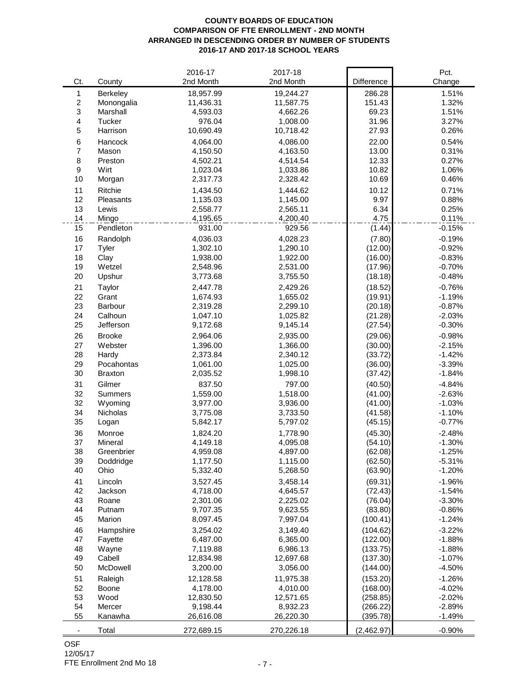#### **COUNTY BOARDS OF EDUCATION COMPARISON OF FTE ENROLLMENT - 2ND MONTH ARRANGED IN DESCENDING ORDER BY NUMBER OF STUDENTS 2016-17 AND 2017-18 SCHOOL YEARS**

|                          |                | 2016-17    | 2017-18    |            | Pct.     |
|--------------------------|----------------|------------|------------|------------|----------|
| Ct.                      | County         | 2nd Month  | 2nd Month  | Difference | Change   |
| $\mathbf{1}$             | Berkeley       | 18,957.99  | 19,244.27  | 286.28     | 1.51%    |
| $\overline{\mathbf{c}}$  | Monongalia     | 11,436.31  | 11,587.75  | 151.43     | 1.32%    |
| 3                        | Marshall       | 4,593.03   | 4,662.26   | 69.23      | 1.51%    |
| 4                        | Tucker         | 976.04     | 1,008.00   | 31.96      | 3.27%    |
| 5                        | Harrison       | 10,690.49  | 10,718.42  | 27.93      | 0.26%    |
| 6                        | Hancock        | 4,064.00   | 4,086.00   | 22.00      | 0.54%    |
| $\overline{7}$           | Mason          | 4,150.50   | 4,163.50   | 13.00      | 0.31%    |
| 8                        | Preston        | 4,502.21   | 4,514.54   | 12.33      | 0.27%    |
| $\boldsymbol{9}$         | Wirt           | 1,023.04   | 1,033.86   | 10.82      | 1.06%    |
| 10                       | Morgan         | 2,317.73   | 2,328.42   | 10.69      | 0.46%    |
|                          |                |            |            |            |          |
| 11                       | <b>Ritchie</b> | 1,434.50   | 1,444.62   | 10.12      | 0.71%    |
| 12                       | Pleasants      | 1,135.03   | 1,145.00   | 9.97       | 0.88%    |
| 13                       | Lewis          | 2,558.77   | 2,565.11   | 6.34       | 0.25%    |
| 14                       | Mingo          | 4,195.65   | 4,200.40   | 4.75       | 0.11%    |
| 15                       | Pendleton      | 931.00     | 929.56     | (1.44)     | $-0.15%$ |
| 16                       | Randolph       | 4,036.03   | 4,028.23   | (7.80)     | $-0.19%$ |
| 17                       | Tyler          | 1,302.10   | 1,290.10   | (12.00)    | $-0.92%$ |
| 18                       | Clay           | 1,938.00   | 1,922.00   | (16.00)    | $-0.83%$ |
| 19                       | Wetzel         | 2,548.96   | 2,531.00   | (17.96)    | $-0.70%$ |
| 20                       | Upshur         | 3,773.68   | 3,755.50   | (18.18)    | $-0.48%$ |
| 21                       | Taylor         | 2,447.78   | 2,429.26   | (18.52)    | $-0.76%$ |
| 22                       | Grant          | 1,674.93   | 1,655.02   | (19.91)    | $-1.19%$ |
| 23                       | Barbour        | 2,319.28   | 2,299.10   | (20.18)    | $-0.87%$ |
| 24                       | Calhoun        | 1,047.10   | 1,025.82   | (21.28)    | $-2.03%$ |
| 25                       | Jefferson      | 9,172.68   | 9,145.14   | (27.54)    | $-0.30%$ |
| 26                       | <b>Brooke</b>  | 2,964.06   | 2,935.00   | (29.06)    | $-0.98%$ |
| 27                       | Webster        | 1,396.00   | 1,366.00   | (30.00)    | $-2.15%$ |
| 28                       | Hardy          | 2,373.84   | 2,340.12   | (33.72)    | $-1.42%$ |
| 29                       | Pocahontas     | 1,061.00   | 1,025.00   | (36.00)    | $-3.39%$ |
| 30                       | <b>Braxton</b> | 2,035.52   | 1,998.10   | (37.42)    | $-1.84%$ |
| 31                       | Gilmer         | 837.50     | 797.00     | (40.50)    | $-4.84%$ |
| 32                       | <b>Summers</b> | 1,559.00   | 1,518.00   | (41.00)    | $-2.63%$ |
| 32                       | Wyoming        | 3,977.00   | 3,936.00   | (41.00)    | $-1.03%$ |
| 34                       | Nicholas       | 3,775.08   | 3,733.50   | (41.58)    | $-1.10%$ |
| 35                       |                | 5,842.17   | 5,797.02   | (45.15)    | $-0.77%$ |
|                          | Logan          |            |            |            |          |
| 36                       | Monroe         | 1,824.20   | 1,778.90   | (45.30)    | $-2.48%$ |
| 37                       | Mineral        | 4,149.18   | 4,095.08   | (54.10)    | $-1.30%$ |
| 38                       | Greenbrier     | 4,959.08   | 4,897.00   | (62.08)    | $-1.25%$ |
| 39                       | Doddridge      | 1,177.50   | 1,115.00   | (62.50)    | $-5.31%$ |
| 40                       | Ohio           | 5,332.40   | 5,268.50   | (63.90)    | $-1.20%$ |
| 41                       | Lincoln        | 3,527.45   | 3,458.14   | (69.31)    | $-1.96%$ |
| 42                       | Jackson        | 4,718.00   | 4,645.57   | (72.43)    | $-1.54%$ |
| 43                       | Roane          | 2,301.06   | 2,225.02   | (76.04)    | $-3.30%$ |
| 44                       | Putnam         | 9,707.35   | 9,623.55   | (83.80)    | $-0.86%$ |
| 45                       | Marion         | 8,097.45   | 7,997.04   | (100.41)   | $-1.24%$ |
| 46                       | Hampshire      | 3,254.02   | 3,149.40   | (104.62)   | $-3.22%$ |
| 47                       | Fayette        | 6,487.00   | 6,365.00   | (122.00)   | $-1.88%$ |
| 48                       | Wayne          | 7,119.88   | 6,986.13   | (133.75)   | $-1.88%$ |
| 49                       | Cabell         | 12,834.98  | 12,697.68  | (137.30)   | $-1.07%$ |
| 50                       | McDowell       | 3,200.00   | 3,056.00   | (144.00)   | $-4.50%$ |
| 51                       | Raleigh        | 12,128.58  | 11,975.38  | (153.20)   | $-1.26%$ |
| 52                       | Boone          | 4,178.00   | 4,010.00   | (168.00)   | $-4.02%$ |
| 53                       | Wood           | 12,830.50  | 12,571.65  | (258.85)   | $-2.02%$ |
| 54                       | Mercer         | 9,198.44   | 8,932.23   | (266.22)   | $-2.89%$ |
| 55                       | Kanawha        | 26,616.08  | 26,220.30  | (395.78)   | $-1.49%$ |
| $\overline{\phantom{a}}$ | Total          | 272,689.15 | 270,226.18 | (2,462.97) | $-0.90%$ |
|                          |                |            |            |            |          |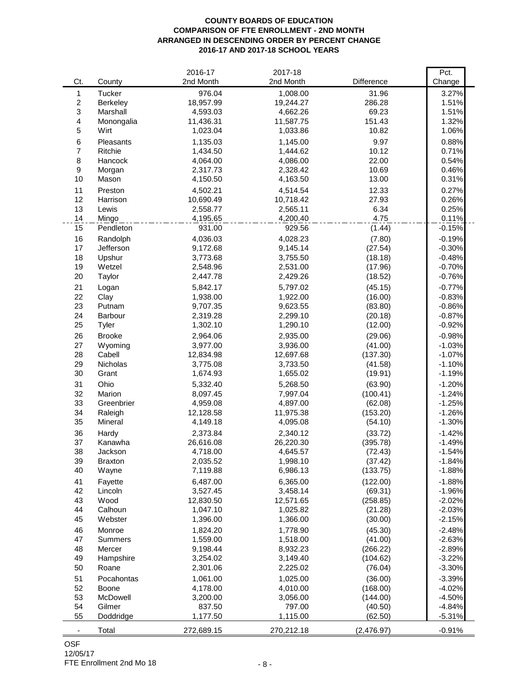#### **COUNTY BOARDS OF EDUCATION COMPARISON OF FTE ENROLLMENT - 2ND MONTH ARRANGED IN DESCENDING ORDER BY PERCENT CHANGE 2016-17 AND 2017-18 SCHOOL YEARS**

|                          |                | 2016-17    | 2017-18    |            | Pct.     |
|--------------------------|----------------|------------|------------|------------|----------|
| Ct.                      | County         | 2nd Month  | 2nd Month  | Difference | Change   |
| 1                        | <b>Tucker</b>  | 976.04     | 1,008.00   | 31.96      | 3.27%    |
| $\boldsymbol{2}$         | Berkeley       | 18,957.99  | 19,244.27  | 286.28     | 1.51%    |
| 3                        | Marshall       | 4,593.03   | 4,662.26   | 69.23      | 1.51%    |
| $\overline{\mathbf{4}}$  | Monongalia     | 11,436.31  | 11,587.75  | 151.43     | 1.32%    |
| 5                        | Wirt           | 1,023.04   | 1,033.86   | 10.82      | 1.06%    |
| 6                        | Pleasants      | 1,135.03   | 1,145.00   | 9.97       | 0.88%    |
| $\overline{7}$           | Ritchie        | 1,434.50   | 1,444.62   | 10.12      | 0.71%    |
| $\,8\,$                  | Hancock        | 4,064.00   | 4,086.00   | 22.00      | 0.54%    |
| $\boldsymbol{9}$         | Morgan         | 2,317.73   | 2,328.42   | 10.69      | 0.46%    |
| 10                       | Mason          | 4,150.50   | 4,163.50   | 13.00      | 0.31%    |
| 11                       | Preston        | 4,502.21   | 4,514.54   | 12.33      | 0.27%    |
| 12                       | Harrison       | 10,690.49  | 10,718.42  | 27.93      | 0.26%    |
| 13                       | Lewis          | 2,558.77   | 2,565.11   | 6.34       | 0.25%    |
| 14                       | Mingo          | 4,195.65   | 4,200.40   | 4.75       | 0.11%    |
| 15                       | Pendleton      | 931.00     | 929.56     | (1.44)     | $-0.15%$ |
| 16                       | Randolph       | 4,036.03   | 4,028.23   | (7.80)     | $-0.19%$ |
| 17                       | Jefferson      | 9,172.68   | 9,145.14   | (27.54)    | $-0.30%$ |
| 18                       | Upshur         | 3,773.68   | 3,755.50   | (18.18)    | $-0.48%$ |
| 19                       | Wetzel         | 2,548.96   | 2,531.00   | (17.96)    | $-0.70%$ |
| 20                       | Taylor         | 2,447.78   | 2,429.26   | (18.52)    | $-0.76%$ |
| 21                       | Logan          | 5,842.17   | 5,797.02   | (45.15)    | $-0.77%$ |
| 22                       | Clay           | 1,938.00   | 1,922.00   | (16.00)    | $-0.83%$ |
| 23                       | Putnam         | 9,707.35   | 9,623.55   | (83.80)    | $-0.86%$ |
| 24                       | Barbour        | 2,319.28   | 2,299.10   | (20.18)    | $-0.87%$ |
| 25                       | Tyler          | 1,302.10   | 1,290.10   | (12.00)    | $-0.92%$ |
| 26                       | <b>Brooke</b>  | 2,964.06   | 2,935.00   | (29.06)    | $-0.98%$ |
| 27                       | Wyoming        | 3,977.00   | 3,936.00   | (41.00)    | $-1.03%$ |
| 28                       | Cabell         | 12,834.98  | 12,697.68  | (137.30)   | $-1.07%$ |
| 29                       | Nicholas       | 3,775.08   | 3,733.50   | (41.58)    | $-1.10%$ |
| 30                       | Grant          | 1,674.93   | 1,655.02   | (19.91)    | $-1.19%$ |
| 31                       | Ohio           | 5,332.40   | 5,268.50   | (63.90)    | $-1.20%$ |
| 32                       | Marion         | 8,097.45   | 7,997.04   | (100.41)   | $-1.24%$ |
| 33                       | Greenbrier     | 4,959.08   | 4,897.00   | (62.08)    | $-1.25%$ |
| 34                       | Raleigh        | 12,128.58  | 11,975.38  | (153.20)   | $-1.26%$ |
| 35                       | Mineral        | 4,149.18   | 4,095.08   | (54.10)    | $-1.30%$ |
| 36                       | Hardy          | 2,373.84   | 2,340.12   | (33.72)    | $-1.42%$ |
| 37                       | Kanawha        | 26,616.08  | 26,220.30  | (395.78)   | $-1.49%$ |
| 38                       | Jackson        | 4,718.00   | 4,645.57   | (72.43)    | $-1.54%$ |
| 39                       | <b>Braxton</b> | 2,035.52   | 1,998.10   | (37.42)    | $-1.84%$ |
| 40                       | Wayne          | 7,119.88   | 6,986.13   | (133.75)   | $-1.88%$ |
| 41                       | Fayette        | 6,487.00   | 6,365.00   | (122.00)   | $-1.88%$ |
| 42                       | Lincoln        | 3,527.45   | 3,458.14   | (69.31)    | $-1.96%$ |
| 43                       | Wood           | 12,830.50  | 12,571.65  | (258.85)   | $-2.02%$ |
| 44                       | Calhoun        | 1,047.10   | 1,025.82   | (21.28)    | $-2.03%$ |
| 45                       | Webster        | 1,396.00   | 1,366.00   | (30.00)    | $-2.15%$ |
| 46                       | Monroe         | 1,824.20   | 1,778.90   | (45.30)    | $-2.48%$ |
| 47                       | <b>Summers</b> | 1,559.00   | 1,518.00   | (41.00)    | $-2.63%$ |
| 48                       | Mercer         | 9,198.44   | 8,932.23   | (266.22)   | $-2.89%$ |
| 49                       | Hampshire      | 3,254.02   | 3,149.40   | (104.62)   | $-3.22%$ |
| 50                       | Roane          | 2,301.06   | 2,225.02   | (76.04)    | $-3.30%$ |
| 51                       | Pocahontas     | 1,061.00   | 1,025.00   | (36.00)    | $-3.39%$ |
| 52                       | Boone          | 4,178.00   | 4,010.00   | (168.00)   | $-4.02%$ |
| 53                       | McDowell       | 3,200.00   | 3,056.00   | (144.00)   | $-4.50%$ |
| 54                       | Gilmer         | 837.50     | 797.00     | (40.50)    | $-4.84%$ |
| 55                       | Doddridge      | 1,177.50   | 1,115.00   | (62.50)    | $-5.31%$ |
|                          |                |            |            |            |          |
| $\overline{\phantom{a}}$ | Total          | 272,689.15 | 270,212.18 | (2,476.97) | $-0.91%$ |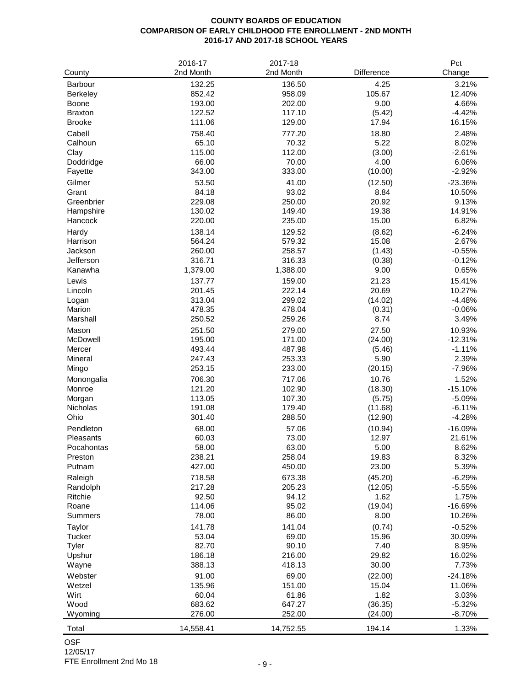## **COUNTY BOARDS OF EDUCATION COMPARISON OF EARLY CHILDHOOD FTE ENROLLMENT - 2ND MONTH 2016-17 AND 2017-18 SCHOOL YEARS**

| County           | 2016-17<br>2nd Month | 2017-18<br>2nd Month | Difference      | Pct<br>Change      |
|------------------|----------------------|----------------------|-----------------|--------------------|
| Barbour          | 132.25               | 136.50               | 4.25            | 3.21%              |
| <b>Berkeley</b>  | 852.42               | 958.09               | 105.67          | 12.40%             |
| Boone            | 193.00               | 202.00               | 9.00            | 4.66%              |
| <b>Braxton</b>   | 122.52               | 117.10               | (5.42)          | $-4.42%$           |
| <b>Brooke</b>    | 111.06               | 129.00               | 17.94           | 16.15%             |
| Cabell           | 758.40               | 777.20               | 18.80           | 2.48%              |
| Calhoun          | 65.10                | 70.32                | 5.22            | 8.02%              |
| Clay             | 115.00               | 112.00               | (3.00)          | $-2.61%$           |
| Doddridge        | 66.00                | 70.00                | 4.00            | 6.06%              |
| Fayette          | 343.00               | 333.00               | (10.00)         | $-2.92%$           |
| Gilmer           | 53.50                | 41.00                | (12.50)         | $-23.36%$          |
| Grant            | 84.18                | 93.02                | 8.84            | 10.50%             |
| Greenbrier       | 229.08               | 250.00               | 20.92           | 9.13%              |
| Hampshire        | 130.02               | 149.40               | 19.38           | 14.91%             |
| Hancock          | 220.00               | 235.00               | 15.00           | 6.82%              |
| Hardy            | 138.14               | 129.52               | (8.62)          | $-6.24%$           |
| Harrison         | 564.24               | 579.32               | 15.08           | 2.67%              |
| Jackson          | 260.00               | 258.57               | (1.43)          | $-0.55%$           |
| Jefferson        | 316.71               | 316.33               | (0.38)          | $-0.12%$           |
| Kanawha          | 1,379.00             | 1,388.00             | 9.00            | 0.65%              |
| Lewis            | 137.77               | 159.00               | 21.23           | 15.41%             |
| Lincoln          | 201.45               | 222.14               | 20.69           | 10.27%             |
| Logan            | 313.04               | 299.02               | (14.02)         | $-4.48%$           |
| Marion           | 478.35               | 478.04               | (0.31)          | $-0.06%$           |
| Marshall         | 250.52               | 259.26               | 8.74            | 3.49%              |
| Mason            | 251.50               | 279.00               | 27.50           | 10.93%             |
| McDowell         | 195.00               | 171.00               | (24.00)         | $-12.31%$          |
| Mercer           | 493.44               | 487.98               | (5.46)          | $-1.11%$           |
| Mineral<br>Mingo | 247.43<br>253.15     | 253.33<br>233.00     | 5.90<br>(20.15) | 2.39%<br>$-7.96%$  |
| Monongalia       | 706.30               | 717.06               | 10.76           | 1.52%              |
| Monroe           | 121.20               | 102.90               | (18.30)         | $-15.10%$          |
| Morgan           | 113.05               | 107.30               | (5.75)          | $-5.09%$           |
| Nicholas         | 191.08               | 179.40               | (11.68)         | $-6.11%$           |
| Ohio             | 301.40               | 288.50               | (12.90)         | $-4.28%$           |
| Pendleton        | 68.00                | 57.06                | (10.94)         | $-16.09%$          |
| Pleasants        | 60.03                | 73.00                | 12.97           | 21.61%             |
| Pocahontas       | 58.00                | 63.00                | 5.00            | 8.62%              |
| Preston          | 238.21               | 258.04               | 19.83           | 8.32%              |
| Putnam           | 427.00               | 450.00               | 23.00           | 5.39%              |
| Raleigh          | 718.58               | 673.38               | (45.20)         | $-6.29%$           |
| Randolph         | 217.28               | 205.23               | (12.05)         | $-5.55%$           |
| Ritchie<br>Roane | 92.50<br>114.06      | 94.12<br>95.02       | 1.62<br>(19.04) | 1.75%<br>$-16.69%$ |
| <b>Summers</b>   | 78.00                | 86.00                | 8.00            | 10.26%             |
|                  | 141.78               | 141.04               | (0.74)          |                    |
| Taylor<br>Tucker | 53.04                | 69.00                |                 | $-0.52%$<br>30.09% |
| Tyler            | 82.70                | 90.10                | 15.96<br>7.40   | 8.95%              |
| Upshur           | 186.18               | 216.00               | 29.82           | 16.02%             |
| Wayne            | 388.13               | 418.13               | 30.00           | 7.73%              |
| Webster          | 91.00                | 69.00                | (22.00)         | $-24.18%$          |
| Wetzel           | 135.96               | 151.00               | 15.04           | 11.06%             |
| Wirt             | 60.04                | 61.86                | 1.82            | 3.03%              |
| Wood             | 683.62               | 647.27               | (36.35)         | $-5.32%$           |
| Wyoming          | 276.00               | 252.00               | (24.00)         | $-8.70%$           |
| Total            | 14,558.41            | 14,752.55            | 194.14          | 1.33%              |

FTE Enrollment 2nd Mo 18 - 9 -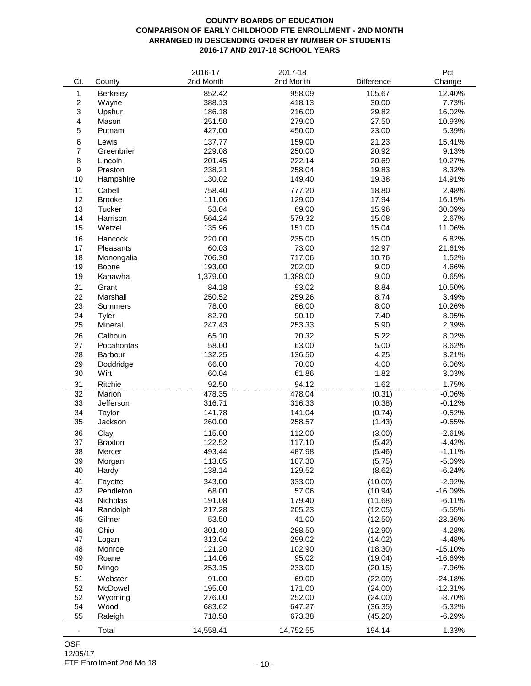## **COUNTY BOARDS OF EDUCATION COMPARISON OF EARLY CHILDHOOD FTE ENROLLMENT - 2ND MONTH ARRANGED IN DESCENDING ORDER BY NUMBER OF STUDENTS 2016-17 AND 2017-18 SCHOOL YEARS**

|                          |                | 2016-17   | 2017-18   |            | Pct       |
|--------------------------|----------------|-----------|-----------|------------|-----------|
| Ct.                      | County         | 2nd Month | 2nd Month | Difference | Change    |
| $\mathbf{1}$             | Berkeley       | 852.42    | 958.09    | 105.67     | 12.40%    |
| $\sqrt{2}$               | Wayne          | 388.13    | 418.13    | 30.00      | 7.73%     |
| 3                        | Upshur         | 186.18    | 216.00    | 29.82      | 16.02%    |
| 4                        | Mason          | 251.50    | 279.00    | 27.50      | 10.93%    |
| 5                        | Putnam         | 427.00    | 450.00    | 23.00      | 5.39%     |
| $\,6$                    | Lewis          | 137.77    | 159.00    | 21.23      | 15.41%    |
| $\overline{7}$           | Greenbrier     | 229.08    | 250.00    | 20.92      | 9.13%     |
| 8                        | Lincoln        | 201.45    | 222.14    | 20.69      | 10.27%    |
| $\boldsymbol{9}$         | Preston        | 238.21    | 258.04    | 19.83      | 8.32%     |
| 10                       | Hampshire      | 130.02    | 149.40    | 19.38      | 14.91%    |
| 11                       | Cabell         | 758.40    | 777.20    | 18.80      | 2.48%     |
| 12                       | <b>Brooke</b>  | 111.06    | 129.00    | 17.94      | 16.15%    |
| 13                       | Tucker         | 53.04     | 69.00     | 15.96      | 30.09%    |
| 14                       | Harrison       | 564.24    | 579.32    | 15.08      | 2.67%     |
| 15                       | Wetzel         | 135.96    | 151.00    | 15.04      | 11.06%    |
| 16                       | Hancock        | 220.00    | 235.00    | 15.00      | 6.82%     |
| 17                       | Pleasants      | 60.03     | 73.00     | 12.97      | 21.61%    |
| 18                       | Monongalia     | 706.30    | 717.06    | 10.76      | 1.52%     |
| 19                       | Boone          | 193.00    | 202.00    | 9.00       | 4.66%     |
| 19                       | Kanawha        | 1,379.00  | 1,388.00  | 9.00       | 0.65%     |
| 21                       | Grant          | 84.18     | 93.02     | 8.84       | 10.50%    |
| 22                       | Marshall       | 250.52    | 259.26    | 8.74       | 3.49%     |
| 23                       | <b>Summers</b> | 78.00     | 86.00     | 8.00       | 10.26%    |
| 24                       | Tyler          | 82.70     | 90.10     | 7.40       | 8.95%     |
| 25                       | Mineral        | 247.43    | 253.33    | 5.90       | 2.39%     |
| 26                       | Calhoun        | 65.10     | 70.32     | 5.22       | 8.02%     |
| 27                       | Pocahontas     | 58.00     | 63.00     | 5.00       | 8.62%     |
| 28                       | Barbour        | 132.25    | 136.50    | 4.25       | 3.21%     |
| 29                       | Doddridge      | 66.00     | 70.00     | 4.00       | 6.06%     |
| 30                       | Wirt           | 60.04     | 61.86     | 1.82       | 3.03%     |
| 31                       | Ritchie        | 92.50     | 94.12     | 1.62       | 1.75%     |
| 32                       | Marion         | 478.35    | 478.04    | (0.31)     | $-0.06%$  |
| 33                       | Jefferson      | 316.71    | 316.33    | (0.38)     | $-0.12%$  |
| 34                       | Taylor         | 141.78    | 141.04    | (0.74)     | $-0.52%$  |
| 35                       | Jackson        | 260.00    | 258.57    | (1.43)     | $-0.55%$  |
| 36                       | Clay           | 115.00    | 112.00    | (3.00)     | $-2.61%$  |
| 37                       | <b>Braxton</b> | 122.52    | 117.10    | (5.42)     | $-4.42%$  |
| 38                       | Mercer         | 493.44    | 487.98    | (5.46)     | $-1.11%$  |
| 39                       | Morgan         | 113.05    | 107.30    | (5.75)     | $-5.09%$  |
| 40                       | Hardy          | 138.14    | 129.52    | (8.62)     | $-6.24%$  |
| 41                       | Fayette        | 343.00    | 333.00    | (10.00)    | $-2.92%$  |
| 42                       | Pendleton      | 68.00     | 57.06     | (10.94)    | $-16.09%$ |
| 43                       | Nicholas       | 191.08    | 179.40    | (11.68)    | $-6.11%$  |
| 44                       | Randolph       | 217.28    | 205.23    | (12.05)    | $-5.55%$  |
| 45                       | Gilmer         | 53.50     | 41.00     | (12.50)    | $-23.36%$ |
| 46                       | Ohio           | 301.40    | 288.50    | (12.90)    | $-4.28%$  |
| 47                       | Logan          | 313.04    | 299.02    | (14.02)    | $-4.48%$  |
| 48                       | Monroe         | 121.20    | 102.90    | (18.30)    | $-15.10%$ |
| 49                       | Roane          | 114.06    | 95.02     | (19.04)    | $-16.69%$ |
| 50                       | Mingo          | 253.15    | 233.00    | (20.15)    | $-7.96%$  |
| 51                       | Webster        | 91.00     | 69.00     | (22.00)    | $-24.18%$ |
| 52                       | McDowell       | 195.00    | 171.00    | (24.00)    | $-12.31%$ |
| 52                       | Wyoming        | 276.00    | 252.00    | (24.00)    | $-8.70%$  |
| 54                       | Wood           | 683.62    | 647.27    | (36.35)    | $-5.32%$  |
| 55                       | Raleigh        | 718.58    | 673.38    | (45.20)    | $-6.29%$  |
|                          |                |           |           |            |           |
| $\overline{\phantom{a}}$ | Total          | 14,558.41 | 14,752.55 | 194.14     | 1.33%     |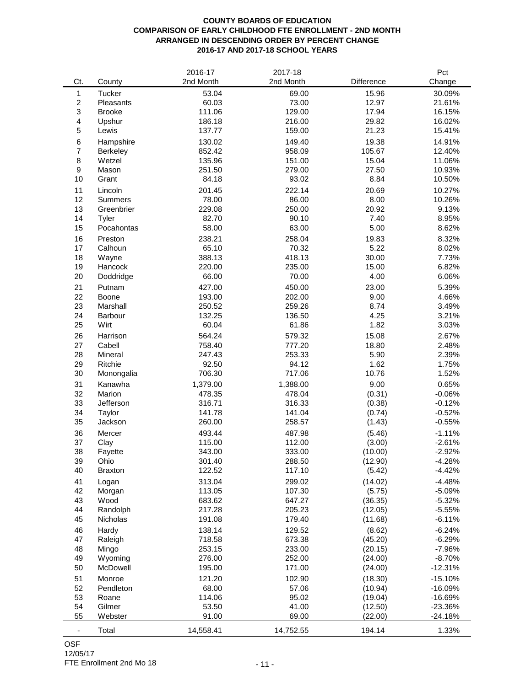### **COUNTY BOARDS OF EDUCATION COMPARISON OF EARLY CHILDHOOD FTE ENROLLMENT - 2ND MONTH ARRANGED IN DESCENDING ORDER BY PERCENT CHANGE 2016-17 AND 2017-18 SCHOOL YEARS**

|                          |                 | 2016-17          | 2017-18          |               | Pct            |
|--------------------------|-----------------|------------------|------------------|---------------|----------------|
| Ct.                      | County          | 2nd Month        | 2nd Month        | Difference    | Change         |
| 1                        | Tucker          | 53.04            | 69.00            | 15.96         | 30.09%         |
| $\sqrt{2}$               | Pleasants       | 60.03            | 73.00            | 12.97         | 21.61%         |
| 3                        | <b>Brooke</b>   | 111.06           | 129.00           | 17.94         | 16.15%         |
| 4                        | Upshur          | 186.18           | 216.00           | 29.82         | 16.02%         |
| 5                        | Lewis           | 137.77           | 159.00           | 21.23         | 15.41%         |
| 6                        | Hampshire       | 130.02           | 149.40           | 19.38         | 14.91%         |
| $\overline{7}$           | <b>Berkeley</b> | 852.42           | 958.09           | 105.67        | 12.40%         |
| 8                        | Wetzel          | 135.96           | 151.00           | 15.04         | 11.06%         |
| 9                        | Mason           | 251.50           | 279.00           | 27.50         | 10.93%         |
| 10                       | Grant           | 84.18            | 93.02            | 8.84          | 10.50%         |
| 11                       | Lincoln         | 201.45           | 222.14           | 20.69         | 10.27%         |
| 12                       | <b>Summers</b>  | 78.00            | 86.00            | 8.00          | 10.26%         |
| 13                       | Greenbrier      | 229.08           | 250.00           | 20.92         | 9.13%          |
| 14                       | Tyler           | 82.70            | 90.10            | 7.40          | 8.95%          |
| 15                       | Pocahontas      | 58.00            | 63.00            | 5.00          | 8.62%          |
| 16                       | Preston         | 238.21           | 258.04           | 19.83         | 8.32%          |
| 17                       | Calhoun         | 65.10            | 70.32            | 5.22          | 8.02%          |
| 18                       | Wayne           | 388.13           | 418.13           | 30.00         | 7.73%          |
| 19                       | Hancock         | 220.00           | 235.00           | 15.00         | 6.82%          |
| 20                       | Doddridge       | 66.00            | 70.00            | 4.00          | 6.06%          |
|                          |                 |                  | 450.00           |               |                |
| 21<br>22                 | Putnam<br>Boone | 427.00<br>193.00 | 202.00           | 23.00<br>9.00 | 5.39%<br>4.66% |
| 23                       | Marshall        | 250.52           | 259.26           | 8.74          | 3.49%          |
| 24                       | Barbour         | 132.25           | 136.50           | 4.25          | 3.21%          |
| 25                       | Wirt            | 60.04            | 61.86            | 1.82          | 3.03%          |
|                          |                 |                  |                  |               |                |
| 26                       | Harrison        | 564.24           | 579.32           | 15.08         | 2.67%          |
| 27                       | Cabell          | 758.40           | 777.20           | 18.80         | 2.48%          |
| 28                       | Mineral         | 247.43           | 253.33           | 5.90          | 2.39%          |
| 29<br>30                 | Ritchie         | 92.50            | 94.12            | 1.62          | 1.75%          |
|                          | Monongalia      | 706.30           | 717.06           | 10.76         | 1.52%          |
| 31                       | Kanawha         | 1,379.00         | 1,388.00         | 9.00          | 0.65%          |
| 32                       | Marion          | 478.35<br>316.71 | 478.04<br>316.33 | (0.31)        | $-0.06%$       |
| 33                       | Jefferson       |                  |                  | (0.38)        | $-0.12%$       |
| 34                       | Taylor          | 141.78           | 141.04           | (0.74)        | $-0.52%$       |
| 35                       | Jackson         | 260.00           | 258.57           | (1.43)        | $-0.55%$       |
| 36                       | Mercer          | 493.44           | 487.98           | (5.46)        | $-1.11%$       |
| 37                       | Clay            | 115.00           | 112.00           | (3.00)        | $-2.61%$       |
| 38                       | Fayette         | 343.00           | 333.00           | (10.00)       | $-2.92%$       |
| 39                       | Ohio            | 301.40           | 288.50           | (12.90)       | $-4.28%$       |
| 40                       | <b>Braxton</b>  | 122.52           | 117.10           | (5.42)        | $-4.42%$       |
| 41                       | Logan           | 313.04           | 299.02           | (14.02)       | $-4.48%$       |
| 42                       | Morgan          | 113.05           | 107.30           | (5.75)        | $-5.09%$       |
| 43                       | Wood            | 683.62           | 647.27           | (36.35)       | $-5.32%$       |
| 44                       | Randolph        | 217.28           | 205.23           | (12.05)       | $-5.55%$       |
| 45                       | Nicholas        | 191.08           | 179.40           | (11.68)       | $-6.11%$       |
| 46                       | Hardy           | 138.14           | 129.52           | (8.62)        | $-6.24%$       |
| 47                       | Raleigh         | 718.58           | 673.38           | (45.20)       | $-6.29%$       |
| 48                       | Mingo           | 253.15           | 233.00           | (20.15)       | $-7.96%$       |
| 49                       | Wyoming         | 276.00           | 252.00           | (24.00)       | $-8.70%$       |
| 50                       | McDowell        | 195.00           | 171.00           | (24.00)       | $-12.31%$      |
| 51                       | Monroe          | 121.20           | 102.90           | (18.30)       | $-15.10%$      |
| 52                       | Pendleton       | 68.00            | 57.06            | (10.94)       | $-16.09%$      |
| 53                       | Roane           | 114.06           | 95.02            | (19.04)       | $-16.69%$      |
| 54                       | Gilmer          | 53.50            | 41.00            | (12.50)       | $-23.36%$      |
| 55                       | Webster         | 91.00            | 69.00            | (22.00)       | $-24.18%$      |
| $\overline{\phantom{a}}$ | Total           | 14,558.41        | 14,752.55        | 194.14        | 1.33%          |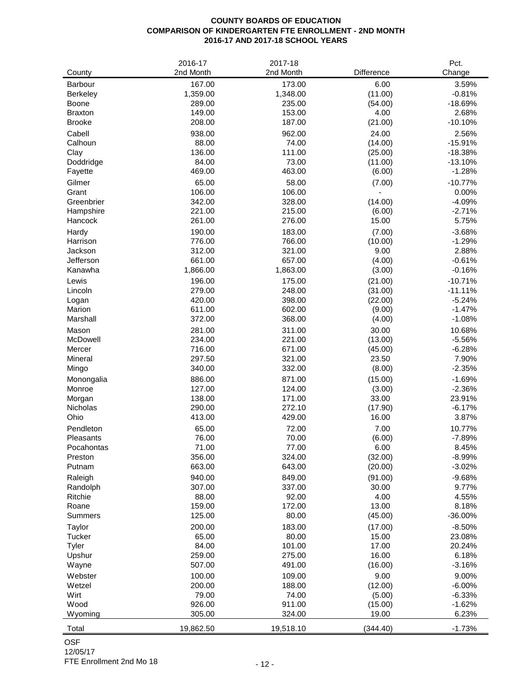## **COUNTY BOARDS OF EDUCATION COMPARISON OF KINDERGARTEN FTE ENROLLMENT - 2ND MONTH 2016-17 AND 2017-18 SCHOOL YEARS**

| County               | 2016-17<br>2nd Month | 2017-18<br>2nd Month | Difference     | Pct.<br>Change    |
|----------------------|----------------------|----------------------|----------------|-------------------|
| <b>Barbour</b>       | 167.00               | 173.00               | 6.00           | 3.59%             |
| <b>Berkeley</b>      | 1,359.00             | 1,348.00             | (11.00)        | $-0.81%$          |
| Boone                | 289.00               | 235.00               | (54.00)        | $-18.69%$         |
| <b>Braxton</b>       | 149.00               | 153.00               | 4.00           | 2.68%             |
| <b>Brooke</b>        | 208.00               | 187.00               | (21.00)        | $-10.10%$         |
| Cabell               | 938.00               | 962.00               | 24.00          | 2.56%             |
| Calhoun              | 88.00                | 74.00                | (14.00)        | $-15.91%$         |
| Clay                 | 136.00               | 111.00               | (25.00)        | $-18.38%$         |
| Doddridge            | 84.00                | 73.00                | (11.00)        | $-13.10%$         |
| Fayette              | 469.00               | 463.00               | (6.00)         | $-1.28%$          |
| Gilmer               | 65.00                | 58.00                | (7.00)         | $-10.77%$         |
| Grant                | 106.00               | 106.00               |                | 0.00%             |
| Greenbrier           | 342.00               | 328.00               | (14.00)        | $-4.09%$          |
| Hampshire            | 221.00               | 215.00               | (6.00)         | $-2.71%$          |
| Hancock              | 261.00               | 276.00               | 15.00          | 5.75%             |
| Hardy                | 190.00               | 183.00               | (7.00)         | $-3.68%$          |
| Harrison             | 776.00               | 766.00               | (10.00)        | $-1.29%$          |
| Jackson<br>Jefferson | 312.00<br>661.00     | 321.00<br>657.00     | 9.00<br>(4.00) | 2.88%<br>$-0.61%$ |
| Kanawha              | 1,866.00             | 1,863.00             | (3.00)         | $-0.16%$          |
| Lewis                | 196.00               | 175.00               | (21.00)        | $-10.71%$         |
| Lincoln              | 279.00               | 248.00               | (31.00)        | $-11.11%$         |
| Logan                | 420.00               | 398.00               | (22.00)        | $-5.24%$          |
| Marion               | 611.00               | 602.00               | (9.00)         | $-1.47%$          |
| Marshall             | 372.00               | 368.00               | (4.00)         | $-1.08%$          |
| Mason                | 281.00               | 311.00               | 30.00          | 10.68%            |
| McDowell             | 234.00               | 221.00               | (13.00)        | $-5.56%$          |
| Mercer               | 716.00               | 671.00               | (45.00)        | $-6.28%$          |
| Mineral              | 297.50               | 321.00               | 23.50          | 7.90%             |
| Mingo                | 340.00               | 332.00               | (8.00)         | $-2.35%$          |
| Monongalia           | 886.00               | 871.00               | (15.00)        | $-1.69%$          |
| Monroe               | 127.00               | 124.00               | (3.00)         | $-2.36%$          |
| Morgan               | 138.00               | 171.00               | 33.00          | 23.91%            |
| Nicholas             | 290.00               | 272.10               | (17.90)        | $-6.17%$          |
| Ohio                 | 413.00               | 429.00               | 16.00          | 3.87%             |
| Pendleton            | 65.00                | 72.00                | 7.00           | 10.77%            |
| Pleasants            | 76.00                | 70.00                | (6.00)         | $-7.89%$          |
| Pocahontas           | 71.00                | 77.00                | 6.00           | 8.45%             |
| Preston              | 356.00               | 324.00               | (32.00)        | $-8.99%$          |
| Putnam               | 663.00               | 643.00               | (20.00)        | $-3.02%$          |
| Raleigh              | 940.00               | 849.00               | (91.00)        | $-9.68%$          |
| Randolph             | 307.00               | 337.00               | 30.00          | 9.77%             |
| Ritchie              | 88.00                | 92.00                | 4.00           | 4.55%             |
| Roane                | 159.00               | 172.00               | 13.00          | 8.18%             |
| <b>Summers</b>       | 125.00               | 80.00                | (45.00)        | $-36.00%$         |
| Taylor               | 200.00               | 183.00               | (17.00)        | $-8.50%$          |
| Tucker<br>Tyler      | 65.00<br>84.00       | 80.00<br>101.00      | 15.00<br>17.00 | 23.08%<br>20.24%  |
| Upshur               | 259.00               | 275.00               | 16.00          | 6.18%             |
| Wayne                | 507.00               | 491.00               | (16.00)        | $-3.16%$          |
| Webster              | 100.00               | 109.00               | 9.00           | 9.00%             |
| Wetzel               | 200.00               | 188.00               | (12.00)        | $-6.00%$          |
| Wirt                 | 79.00                | 74.00                | (5.00)         | $-6.33%$          |
| Wood                 | 926.00               | 911.00               | (15.00)        | $-1.62%$          |
| Wyoming              | 305.00               | 324.00               | 19.00          | 6.23%             |
|                      |                      |                      |                |                   |
| Total                | 19,862.50            | 19,518.10            | (344.40)       | $-1.73%$          |

OSF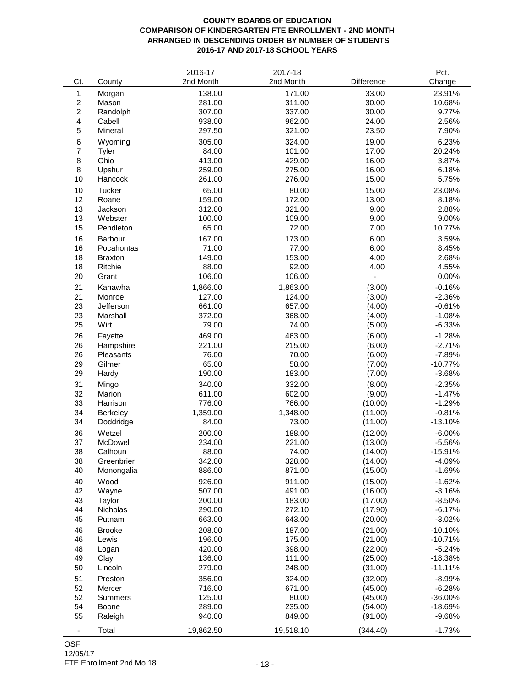#### **COUNTY BOARDS OF EDUCATION COMPARISON OF KINDERGARTEN FTE ENROLLMENT - 2ND MONTH ARRANGED IN DESCENDING ORDER BY NUMBER OF STUDENTS 2016-17 AND 2017-18 SCHOOL YEARS**

|                          |                | 2016-17   | 2017-18   |            | Pct.      |
|--------------------------|----------------|-----------|-----------|------------|-----------|
| Ct.                      | County         | 2nd Month | 2nd Month | Difference | Change    |
| 1                        | Morgan         | 138.00    | 171.00    | 33.00      | 23.91%    |
| $\overline{c}$           | Mason          | 281.00    | 311.00    | 30.00      | 10.68%    |
| $\overline{c}$           | Randolph       | 307.00    | 337.00    | 30.00      | 9.77%     |
| $\overline{\mathbf{4}}$  | Cabell         | 938.00    | 962.00    | 24.00      | 2.56%     |
| $\mathbf 5$              | Mineral        | 297.50    | 321.00    | 23.50      | 7.90%     |
| 6                        | Wyoming        | 305.00    | 324.00    | 19.00      | 6.23%     |
| $\overline{\mathcal{I}}$ | Tyler          | 84.00     | 101.00    | 17.00      | 20.24%    |
| $\, 8$                   | Ohio           | 413.00    | 429.00    | 16.00      | 3.87%     |
| 8                        | Upshur         | 259.00    | 275.00    | 16.00      | 6.18%     |
| 10                       | Hancock        | 261.00    | 276.00    | 15.00      | 5.75%     |
|                          |                |           |           |            |           |
| 10                       | Tucker         | 65.00     | 80.00     | 15.00      | 23.08%    |
| 12<br>13                 | Roane          | 159.00    | 172.00    | 13.00      | 8.18%     |
| 13                       | Jackson        | 312.00    | 321.00    | 9.00       | 2.88%     |
|                          | Webster        | 100.00    | 109.00    | 9.00       | 9.00%     |
| 15                       | Pendleton      | 65.00     | 72.00     | 7.00       | 10.77%    |
| 16                       | Barbour        | 167.00    | 173.00    | 6.00       | 3.59%     |
| 16                       | Pocahontas     | 71.00     | 77.00     | 6.00       | 8.45%     |
| 18                       | <b>Braxton</b> | 149.00    | 153.00    | 4.00       | 2.68%     |
| 18                       | Ritchie        | 88.00     | 92.00     | 4.00       | 4.55%     |
| 20                       | Grant          | 106.00    | 106.00    |            | 0.00%     |
| 21                       | Kanawha        | 1,866.00  | 1,863.00  | (3.00)     | $-0.16%$  |
| 21                       | Monroe         | 127.00    | 124.00    | (3.00)     | $-2.36%$  |
| 23                       | Jefferson      | 661.00    | 657.00    | (4.00)     | $-0.61%$  |
| 23                       | Marshall       | 372.00    | 368.00    | (4.00)     | $-1.08%$  |
| 25                       | Wirt           | 79.00     | 74.00     | (5.00)     | $-6.33%$  |
| 26                       | Fayette        | 469.00    | 463.00    | (6.00)     | $-1.28%$  |
| 26                       | Hampshire      | 221.00    | 215.00    | (6.00)     | $-2.71%$  |
| 26                       | Pleasants      | 76.00     | 70.00     | (6.00)     | $-7.89%$  |
| 29                       | Gilmer         | 65.00     | 58.00     | (7.00)     | $-10.77%$ |
| 29                       | Hardy          | 190.00    | 183.00    | (7.00)     | $-3.68%$  |
| 31                       | Mingo          | 340.00    | 332.00    | (8.00)     | $-2.35%$  |
| 32                       | Marion         | 611.00    | 602.00    | (9.00)     | $-1.47%$  |
| 33                       | Harrison       | 776.00    | 766.00    | (10.00)    | $-1.29%$  |
| 34                       | Berkeley       | 1,359.00  | 1,348.00  | (11.00)    | $-0.81%$  |
| 34                       | Doddridge      | 84.00     | 73.00     | (11.00)    | $-13.10%$ |
| 36                       | Wetzel         | 200.00    | 188.00    | (12.00)    | $-6.00%$  |
| 37                       | McDowell       | 234.00    | 221.00    | (13.00)    | $-5.56%$  |
| 38                       | Calhoun        | 88.00     | 74.00     | (14.00)    | $-15.91%$ |
| 38                       | Greenbrier     | 342.00    | 328.00    | (14.00)    | $-4.09%$  |
| 40                       | Monongalia     | 886.00    | 871.00    | (15.00)    | $-1.69%$  |
| 40                       | Wood           | 926.00    | 911.00    | (15.00)    | $-1.62%$  |
| 42                       | Wayne          | 507.00    | 491.00    | (16.00)    | $-3.16%$  |
| 43                       | Taylor         | 200.00    | 183.00    | (17.00)    | $-8.50%$  |
| 44                       | Nicholas       | 290.00    | 272.10    | (17.90)    | $-6.17%$  |
| 45                       | Putnam         | 663.00    | 643.00    | (20.00)    | $-3.02%$  |
| 46                       | <b>Brooke</b>  | 208.00    | 187.00    | (21.00)    | $-10.10%$ |
| 46                       | Lewis          | 196.00    | 175.00    | (21.00)    | $-10.71%$ |
| 48                       | Logan          | 420.00    | 398.00    | (22.00)    | $-5.24%$  |
| 49                       | Clay           | 136.00    | 111.00    | (25.00)    | $-18.38%$ |
| 50                       | Lincoln        | 279.00    | 248.00    | (31.00)    | $-11.11%$ |
| 51                       | Preston        | 356.00    | 324.00    | (32.00)    | $-8.99%$  |
| 52                       | Mercer         | 716.00    | 671.00    | (45.00)    | $-6.28%$  |
| 52                       | Summers        | 125.00    | 80.00     | (45.00)    | $-36.00%$ |
| 54                       | Boone          | 289.00    | 235.00    | (54.00)    | -18.69%   |
| 55                       | Raleigh        | 940.00    | 849.00    | (91.00)    | $-9.68%$  |
| ٠                        | Total          | 19,862.50 | 19,518.10 | (344.40)   | $-1.73%$  |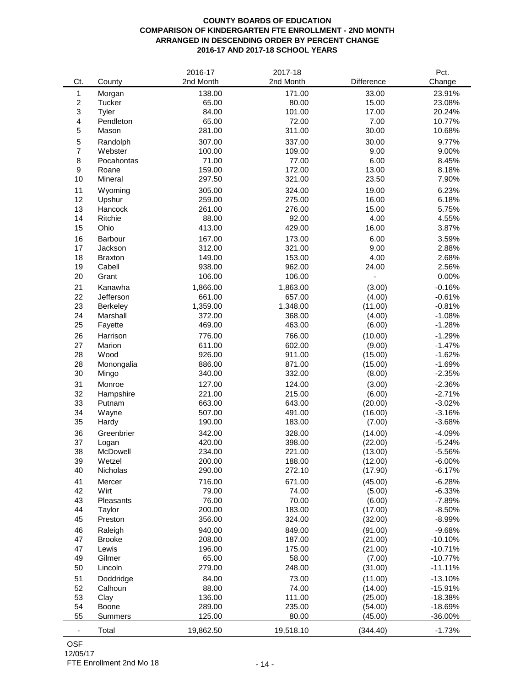### **COUNTY BOARDS OF EDUCATION COMPARISON OF KINDERGARTEN FTE ENROLLMENT - 2ND MONTH ARRANGED IN DESCENDING ORDER BY PERCENT CHANGE 2016-17 AND 2017-18 SCHOOL YEARS**

|                           |                | 2016-17   | 2017-18   |            | Pct.      |
|---------------------------|----------------|-----------|-----------|------------|-----------|
| Ct.                       | County         | 2nd Month | 2nd Month | Difference | Change    |
| 1                         | Morgan         | 138.00    | 171.00    | 33.00      | 23.91%    |
| $\overline{c}$            | Tucker         | 65.00     | 80.00     | 15.00      | 23.08%    |
| $\ensuremath{\mathsf{3}}$ | Tyler          | 84.00     | 101.00    | 17.00      | 20.24%    |
| $\overline{\mathbf{4}}$   | Pendleton      | 65.00     | 72.00     | 7.00       | 10.77%    |
| $\mathbf 5$               | Mason          | 281.00    | 311.00    | 30.00      | 10.68%    |
| $\mathbf 5$               | Randolph       | 307.00    | 337.00    | 30.00      | 9.77%     |
| $\overline{7}$            | Webster        | 100.00    | 109.00    | 9.00       | 9.00%     |
| $\, 8$                    | Pocahontas     | 71.00     | 77.00     | 6.00       | 8.45%     |
| $\boldsymbol{9}$          | Roane          | 159.00    | 172.00    | 13.00      | 8.18%     |
| 10                        | Mineral        | 297.50    | 321.00    | 23.50      | 7.90%     |
| 11                        | Wyoming        | 305.00    | 324.00    | 19.00      | 6.23%     |
| 12                        | Upshur         | 259.00    | 275.00    | 16.00      | 6.18%     |
| 13                        | Hancock        | 261.00    | 276.00    | 15.00      | 5.75%     |
| 14                        | Ritchie        | 88.00     | 92.00     | 4.00       | 4.55%     |
| 15                        | Ohio           | 413.00    | 429.00    | 16.00      | 3.87%     |
|                           |                |           |           |            |           |
| 16                        | Barbour        | 167.00    | 173.00    | 6.00       | 3.59%     |
| 17                        | Jackson        | 312.00    | 321.00    | 9.00       | 2.88%     |
| 18                        | <b>Braxton</b> | 149.00    | 153.00    | 4.00       | 2.68%     |
| 19                        | Cabell         | 938.00    | 962.00    | 24.00      | 2.56%     |
| 20                        | Grant          | 106.00    | 106.00    |            | 0.00%     |
| 21                        | Kanawha        | 1,866.00  | 1,863.00  | (3.00)     | $-0.16%$  |
| 22                        | Jefferson      | 661.00    | 657.00    | (4.00)     | $-0.61%$  |
| 23                        | Berkeley       | 1,359.00  | 1,348.00  | (11.00)    | $-0.81%$  |
| 24                        | Marshall       | 372.00    | 368.00    | (4.00)     | $-1.08%$  |
| 25                        | Fayette        | 469.00    | 463.00    | (6.00)     | $-1.28%$  |
| 26                        | Harrison       | 776.00    | 766.00    | (10.00)    | $-1.29%$  |
| 27                        | Marion         | 611.00    | 602.00    | (9.00)     | $-1.47%$  |
| 28                        | Wood           | 926.00    | 911.00    | (15.00)    | $-1.62%$  |
| 28                        | Monongalia     | 886.00    | 871.00    | (15.00)    | $-1.69%$  |
| 30                        | Mingo          | 340.00    | 332.00    | (8.00)     | $-2.35%$  |
| 31                        | Monroe         | 127.00    | 124.00    | (3.00)     | $-2.36%$  |
| 32                        | Hampshire      | 221.00    | 215.00    | (6.00)     | $-2.71%$  |
| 33                        | Putnam         | 663.00    | 643.00    | (20.00)    | $-3.02%$  |
| 34                        | Wayne          | 507.00    | 491.00    | (16.00)    | $-3.16%$  |
| 35                        | Hardy          | 190.00    | 183.00    | (7.00)     | $-3.68%$  |
| 36                        | Greenbrier     | 342.00    | 328.00    | (14.00)    | $-4.09%$  |
| 37                        | Logan          | 420.00    | 398.00    | (22.00)    | $-5.24%$  |
| 38                        | McDowell       | 234.00    | 221.00    | (13.00)    | $-5.56%$  |
| 39                        | Wetzel         | 200.00    | 188.00    | (12.00)    | $-6.00%$  |
| 40                        | Nicholas       | 290.00    | 272.10    | (17.90)    | $-6.17%$  |
| 41                        | Mercer         | 716.00    | 671.00    | (45.00)    | $-6.28%$  |
| 42                        | Wirt           | 79.00     | 74.00     | (5.00)     | $-6.33%$  |
| 43                        | Pleasants      | 76.00     | 70.00     | (6.00)     | $-7.89%$  |
| 44                        | Taylor         | 200.00    | 183.00    | (17.00)    | $-8.50%$  |
| 45                        | Preston        | 356.00    | 324.00    | (32.00)    | $-8.99%$  |
| 46                        | Raleigh        | 940.00    | 849.00    | (91.00)    | $-9.68%$  |
| 47                        | <b>Brooke</b>  | 208.00    | 187.00    | (21.00)    | $-10.10%$ |
| 47                        | Lewis          | 196.00    | 175.00    | (21.00)    | $-10.71%$ |
| 49                        | Gilmer         | 65.00     | 58.00     | (7.00)     | $-10.77%$ |
| 50                        | Lincoln        | 279.00    | 248.00    | (31.00)    | $-11.11%$ |
|                           |                |           |           |            |           |
| 51                        | Doddridge      | 84.00     | 73.00     | (11.00)    | $-13.10%$ |
| 52                        | Calhoun        | 88.00     | 74.00     | (14.00)    | $-15.91%$ |
| 53                        | Clay           | 136.00    | 111.00    | (25.00)    | $-18.38%$ |
| 54                        | Boone          | 289.00    | 235.00    | (54.00)    | $-18.69%$ |
| 55                        | Summers        | 125.00    | 80.00     | (45.00)    | $-36.00%$ |
| $\overline{\phantom{m}}$  | Total          | 19,862.50 | 19,518.10 | (344.40)   | $-1.73%$  |